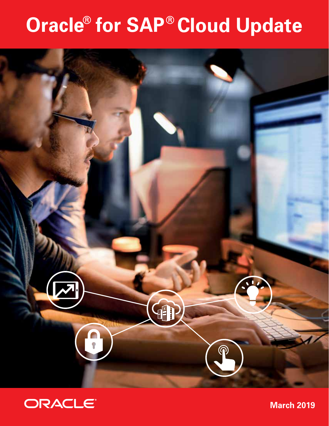# 1 **Oracle® for SAP® Cloud Update**





**March 2019**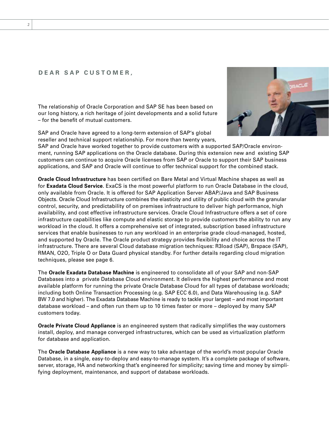## **DEAR SAP CUSTOMER,**

The relationship of Oracle Corporation and SAP SE has been based on our long history, a rich heritage of joint developments and a solid future – for the benefit of mutual customers.

SAP and Oracle have agreed to a long-term extension of SAP's global reseller and technical support relationship. For more than twenty years,



SAP and Oracle have worked together to provide customers with a supported SAP/Oracle environment, running SAP applications on the Oracle database. During this extension new and existing SAP customers can continue to acquire Oracle licenses from SAP or Oracle to support their SAP business applications, and SAP and Oracle will continue to offer technical support for the combined stack.

**Oracle Cloud Infrastructure** has been certified on Bare Metal and Virtual Machine shapes as well as for **Exadata Cloud Service**. ExaCS is the most powerful platform to run Oracle Database in the cloud, only available from Oracle. It is offered for SAP Application Server ABAP/Java and SAP Business Objects. Oracle Cloud Infrastructure combines the elasticity and utility of public cloud with the granular control, security, and predictability of on premises infrastructure to deliver high performance, high availability, and cost effective infrastructure services. Oracle Cloud Infrastructure offers a set of core infrastructure capabilities like compute and elastic storage to provide customers the ability to run any workload in the cloud. It offers a comprehensive set of integrated, subscription based infrastructure services that enable businesses to run any workload in an enterprise grade cloud-managed, hosted, and supported by Oracle. The Oracle product strategy provides flexibility and choice across the IT infrastructure. There are several Cloud database migration techniques: R3load (SAP), Brspace (SAP), RMAN, O2O, Triple O or Data Guard physical standby. For further details regarding cloud migration techniques, please see page 6.

The **Oracle Exadata Database Machine** is engineered to consolidate all of your SAP and non-SAP Databases into a private Database Cloud environment. It delivers the highest performance and most available platform for running the private Oracle Database Cloud for all types of database workloads; including both Online Transaction Processing (e.g. SAP ECC 6.0), and Data Warehousing (e.g. SAP BW 7.0 and higher). The Exadata Database Machine is ready to tackle your largest – and most important database workload – and often run them up to 10 times faster or more – deployed by many SAP customers today.

**Oracle Private Cloud Appliance** is an engineered system that radically simplifies the way customers install, deploy, and manage converged infrastructures, which can be used as virtualization platform for database and application.

The **Oracle Database Appliance** is a new way to take advantage of the world's most popular Oracle Database, in a single, easy-to-deploy and easy-to-manage system. It's a complete package of software, server, storage, HA and networking that's engineered for simplicity; saving time and money by simplifying deployment, maintenance, and support of database workloads.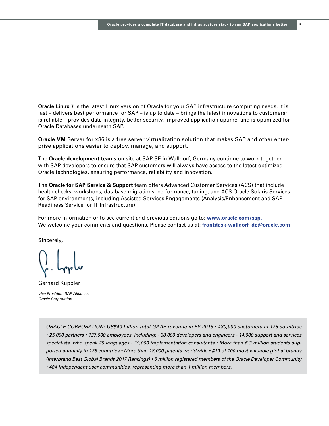**Oracle Linux 7** is the latest Linux version of Oracle for your SAP infrastructure computing needs. It is fast – delivers best performance for SAP – is up to date – brings the latest innovations to customers; is reliable – provides data integrity, better security, improved application uptime, and is optimized for Oracle Databases underneath SAP.

**Oracle VM** Server for x86 is a free server virtualization solution that makes SAP and other enterprise applications easier to deploy, manage, and support.

The **Oracle development teams** on site at SAP SE in Walldorf, Germany continue to work together with SAP developers to ensure that SAP customers will always have access to the latest optimized Oracle technologies, ensuring performance, reliability and innovation.

The **Oracle for SAP Service & Support** team offers Advanced Customer Services (ACS) that include health checks, workshops, database migrations, performance, tuning, and ACS Oracle Solaris Services for SAP environments, including Assisted Services Engagements (Analysis/Enhancement and SAP Readiness Service for IT Infrastructure).

For more information or to see current and previous editions go to: **www.oracle.com/sap.**  We welcome your comments and questions. Please contact us at: **frontdesk-walldorf\_de@oracle.com**

Sincerely,

Gerhard Kuppler

*Vice President SAP Alliances Oracle Corporation*

> *ORACLE CORPORATION: US\$40 billion total GAAP revenue in FY 2018 • 430,000 customers in 175 countries • 25,000 partners • 137,000 employees, including: - 38,000 developers and engineers - 14,000 support and services specialists, who speak 29 languages - 19,000 implementation consultants • More than 6.3 million students supported annually in 128 countries • More than 18,000 patents worldwide • #19 of 100 most valuable global brands (Interbrand Best Global Brands 2017 Rankings) • 5 million registered members of the Oracle Developer Community • 484 independent user communities, representing more than 1 million members.*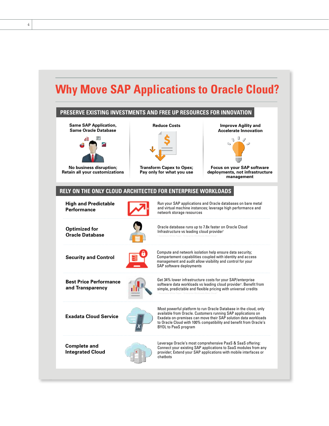# **Why Move SAP Applications to Oracle Cloud?**



4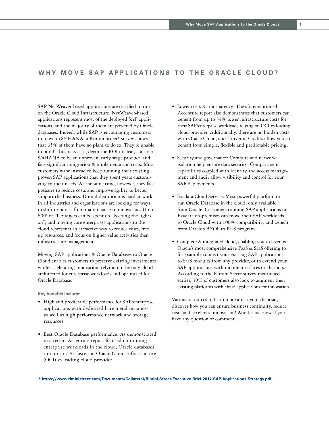### **WHY MOVE SAP APPLICATIONS TO THE ORACLE CLOUD?**

SAP NetWeaver-based applications are certified to run on the Oracle Cloud Infrastructure. NetWeaver-based applications represent most of the deployed SAP applications, and the majority of them are powered by Oracle databases. Indeed, while SAP is encouraging customers to move to S/4HANA, a Rimini Street\* survey shows that 65% of them have no plans to do so. They're unable to build a business case, deem the ROI unclear, consider S/4HANA to be an unproven, early stage product, and face significant migration & implementation costs. Most customers want instead to keep running their existing proven SAP applications that they spent years customizing to their needs. At the same time, however, they face pressure to reduce costs and improve agility to better support the business. Digital disruption is hard at work in all industries and organizations are looking for ways to shift resources from maintenance to innovation. Up to 80% of IT budgets can be spent on "keeping the lights on", and moving core enterprises applications to the cloud represents an attractive way to reduce costs, free up resources, and focus on higher value activities than infrastructure management.

Moving SAP applications & Oracle Databases to Oracle Cloud enables customers to preserve existing investments while accelerating innovation, relying on the only cloud architected for enterprise workloads and optimized for Oracle Database.

**Key benefits include:**

- High and predictable performance for SAP/enterprise applications with dedicated bare metal instances as well as high performance network and storage resources.
- Best Oracle Database performance: As demonstrated in a recent Accenture report focused on running enterprise workloads in the cloud, Oracle databases run up to 7.8x faster on Oracle Cloud Infrastructure (OCI) vs leading cloud provider.
- Lower costs & transparency: The aforementioned Accenture report also demonstrates that customers can benefit from up to 34% lower infrastructure costs for their SAP/enterprise workloads relying on OCI vs leading cloud provider. Additionally, there are no hidden costs with Oracle Cloud, and Universal Credits allow you to benefit from simple, flexible and predictable pricing.
- Security and governance: Compute and network isolation help ensure data security; Compartment capabilities coupled with identity and access management and audit allow visibility and control for your SAP deployments.
- Exadata Cloud Service: Most powerful platform to run Oracle Database in the cloud, only available from Oracle. Customers running SAP applications on Exadata on-premises can move their SAP workloads to Oracle Cloud with 100% compatibility and benefit from Oracle's BYOL to PaaS program.
- Complete & integrated cloud, enabling you to leverage Oracle's most comprehensive PaaS & SaaS offering to for example connect your existing SAP applications to SaaS modules from any provider, or to extend your SAP applications with mobile interfaces or chatbots. According to the Rimini Street survey mentioned earlier, 30% of customers also look to augment their existing platforms with cloud applications for innovation.

Various resources to learn more are at your disposal, discover how you can ensure business continuity, reduce costs and accelerate innovation! And let us know if you have any question or comment.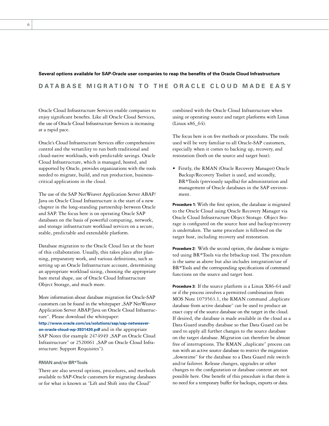# **DATABASE MIGRATION TO THE ORACLE CLOUD MADE EASY Several options available for SAP-Oracle user companies to reap the benefits of the Oracle Cloud Infrastructure**

Oracle Cloud Infrastructure Services enable companies to enjoy significant benefits. Like all Oracle Cloud Services, the use of Oracle Cloud Infrastructure Services is increasing at a rapid pace.

Oracle's Cloud Infrastructure Services offer comprehensive control and the versatility to run both traditional and cloud-native workloads, with predictable savings. Oracle Cloud Infrastructure, which is managed, hosted, and supported by Oracle, provides organizations with the tools needed to migrate, build, and run production, businesscritical applications in the cloud.

The use of the SAP NetWeaver Application Server ABAP/ Java on Oracle Cloud Infrastructure is the start of a new chapter in the long-standing partnership between Oracle and SAP. The focus here is on operating Oracle SAP databases on the basis of powerful computing, network, and storage infrastructure workload services on a secure, stable, predictable and extendable platform.

Database migration to the Oracle Cloud lies at the heart of this collaboration. Usually, this takes place after planning, preparatory work, and various definitions, such as setting up an Oracle Infrastructure account, determining an appropriate workload sizing, choosing the appropriate bare metal shape, use of Oracle Cloud Infrastructure Object Storage, and much more.

More information about database migration for Oracle-SAP customers can be found in the whitepaper "SAP NetWeaver Application Server ABAP/Java on Oracle Cloud Infrastructure". Please download the whitepaper: **http://www.oracle.com/us/solutions/sap/sap-netweaveron-oracle-cloud-wp-3931430.pdf** and in the appropriate SAP Notes (for example 2474949 "SAP on Oracle Cloud Infrastructure" or 2520061 "SAP on Oracle Cloud Infrastructure: Support Requisites").

#### **RMAN and/or BR\*Tools**

There are also several options, procedures, and methods available to SAP-Oracle customers for migrating databases or for what is known as "Lift and Shift into the Cloud"

combined with the Oracle Cloud Infrastructure when using or operating source and target platforms with Linux (Linux x86\_64).

The focus here is on five methods or procedures. The tools used will be very familiar to all Oracle-SAP customers, especially when it comes to backing up, recovery, and restoration (both on the source and target host).

• Firstly, the RMAN (Oracle Recovery Manager) Oracle Backup/Recovery Toolset is used, and secondly, BR\*Tools (previously sapdba) for administration and management of Oracle databases in the SAP environment.

**Procedure 1:** With the first option, the database is migrated to the Oracle Cloud using Oracle Recovery Manager via Oracle Cloud Infrastructure Object Storage. Object Storage is configured on the source host and backup/recovery is undertaken. The same procedure is followed on the target host, including recovery and restoration.

**Procedure 2:** With the second option, the database is migrated using BR\*Tools via the brbackup tool. The procedure is the same as above but also includes integration/use of BR\*Tools and the corresponding specifications of command functions on the source and target host.

**Procedure 3:** If the source platform is a Linux X86-64 and/ or if the process involves a permitted combination from MOS Note 1079563.1, the RMAN command "duplicate database from active database" can be used to produce an exact copy of the source database on the target in the cloud. If desired, the database is made available in the cloud as a Data Guard standby database so that Data Guard can be used to apply all further changes to the source database on the target database. Migration can therefore be almost free of interruptions. The RMAN "duplicate" process can run with an active source database to restrict the migration "downtime" for the database to a Data Guard role switch and/or failover. Release changes, upgrades or other changes to the configuration or database content are not possible here. One benefit of this procedure is that there is no need for a temporary buffer for backups, exports or data.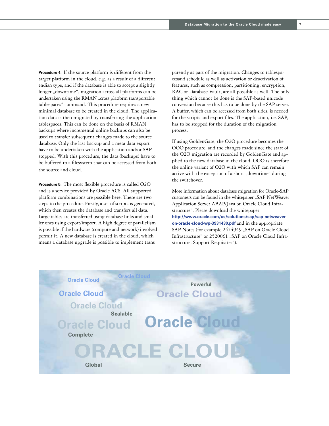**Procedure 4:** If the source platform is different from the target platform in the cloud, e.g. as a result of a different endian type, and if the database is able to accept a slightly longer "downtime", migration across all platforms can be undertaken using the RMAN "cross platform transportable tablespaces" command. This procedure requires a new minimal database to be created in the cloud. The application data is then migrated by transferring the application tablespaces. This can be done on the basis of RMAN backups where incremental online backups can also be used to transfer subsequent changes made to the source database. Only the last backup and a meta data export have to be undertaken with the application and/or SAP stopped. With this procedure, the data (backups) have to be buffered to a filesystem that can be accessed from both the source and cloud.

**Procedure 5:** The most flexible procedure is called O2O and is a service provided by Oracle ACS. All supported platform combinations are possible here. There are two steps to the procedure. Firstly, a set of scripts is generated, which then creates the database and transfers all data. Large tables are transferred using database links and smaller ones using export/import. A high degree of parallelism is possible if the hardware (compute and network) involved permit it. A new database is created in the cloud, which means a database upgrade is possible to implement trans

parently as part of the migration. Changes to tablespacesand schedule as well as activation or deactivation of features, such as compression, partitioning, encryption, RAC or Database Vault, are all possible as well. The only thing which cannot be done is the SAP-based unicode conversion because this has to be done by the SAP server. A buffer, which can be accessed from both sides, is needed for the scripts and export files. The application, i.e. SAP, has to be stopped for the duration of the migration process.

If using GoldenGate, the O2O procedure becomes the OOO procedure, and the changes made since the start of the O2O migration are recorded by GoldenGate and applied to the new database in the cloud. OOO is therefore the online variant of O2O with which SAP can remain active with the exception of a short "downtime" during the switchover.

More information about database migration for Oracle-SAP customers can be found in the whitepaper "SAP NetWeaver Application Server ABAP/Java on Oracle Cloud Infrastructure". Please download the whitepaper: **http://www.oracle.com/us/solutions/sap/sap-netweaveron-oracle-cloud-wp-3931430.pdf** and in the appropriate SAP Notes (for example 2474949 "SAP on Oracle Cloud Infrastructure" or 2520061 "SAP on Oracle Cloud Infrastructure: Support Requisites").

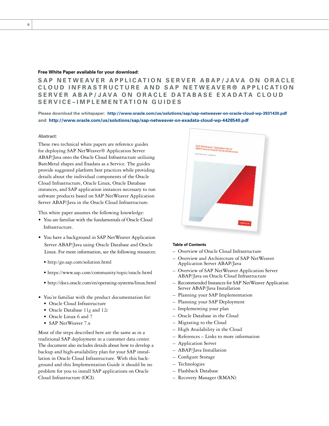#### **Free White Paper available for your download:**

**SAP NETWEAVER APPLICATION SERVER ABAP/JAVA ON ORACLE** CLOUD INFRASTRUCTURE AND SAP NETWEAVER® APPLICATION SERVER ABAP/JAVA ON ORACLE DATABASE EXADATA CLOUD **SERVICE–IMPLEMENTATION GUIDES**

**Please download the whitepaper: http://www.oracle.com/us/solutions/sap/sap-netweaver-on-oracle-cloud-wp-3931430.pdf and http://www.oracle.com/us/solutions/sap/sap-netweaver-on-exadata-cloud-wp-4428540.pdf**

#### **Abstract:**

These two technical white papers are reference guides for deploying SAP NetWeaver® Application Server ABAP/Java onto the Oracle Cloud Infrastructure utilizing BareMetal shapes and Exadata as a Service. The guides provide suggested platform best practices while providing details about the individual components of the Oracle Cloud Infrastructure, Oracle Linux, Oracle Database instances, and SAP application instances necessary to run software products based on SAP NetWeaver Application Server ABAP/Java in the Oracle Cloud Infrastructure.

This white paper assumes the following knowledge:

- You are familiar with the fundamentals of Oracle Cloud Infrastructure.
- You have a background in SAP NetWeaver Application Server ABAP/Java using Oracle Database and Oracle Linux. For more information, see the following resources:
	- http:/go.sap.com/solution.html
	- https://www.sap.com/community/topic/oracle.html
	- http://docs.oracle.com/en/operating-systems/linux.html
- You're familiar with the product documentation for:
	- Oracle Cloud Infrastructure
	- Oracle Database 11*g* and 12*c*
	- Oracle Linux 6 and 7
	- SAP NetWeaver 7.x

Most of the steps described here are the same as in a traditional SAP deployment in a customer data center. The document also includes details about how to develop a backup and high-availability plan for your SAP installation in Oracle Cloud Infrastructure. With this background and this Implementation Guide it should be no problem for you to install SAP applications on Oracle Cloud Infrastructure (OCI).



#### **Table of Contents**

- Overview of Oracle Cloud Infrastructure
- Overview and Architecture of SAP NetWeaver Application Server ABAP/Java
- Overview of SAP NetWeaver Application Server ABAP/Java on Oracle Cloud Infrastructure
- Recommended Instances for SAP NetWeaver Application Server ABAP/Java Installation
- Planning your SAP Implementation
- Planning your SAP Deployment
- Implementing your plan
- Oracle Database in the Cloud
- Migrating to the Cloud
- High Availability in the Cloud
- References Links to more information
- Application Server
- ABAP/Java Installation
- Configure Storage
- Technologies
- Flashback Database
- Recovery Manager (RMAN)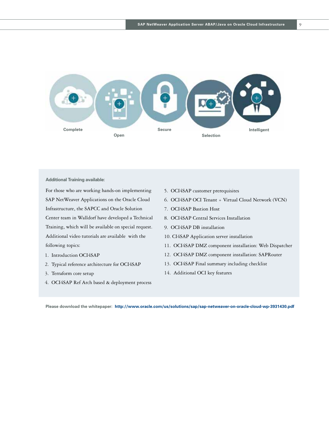

**Additional Training available:**

For those who are working hands-on implementing SAP NetWeaver Applications on the Oracle Cloud Infrastructure, the SAPCC and Oracle Solution Center team in Walldorf have developed a Technical Training, which will be available on special request. Additional video tutorials are available with the following topics:

- 1. Introduction OCI4SAP
- 2. Typical reference architecture for OCI4SAP
- 3. Terraform core setup
- 4. OCI4SAP Ref Arch based & deployment process
- 5. OCI4SAP customer prerequisites
- 6. OCI4SAP OCI Tenant + Virtual Cloud Network (VCN)
- 7. OCI4SAP Bastion Host
- 8. OCI4SAP Central Services Installation
- 9. OCI4SAP DB installation
- 10. CI4SAP Application server installation
- 11. OCI4SAP DMZ component installation: Web Dispatcher
- 12. OCI4SAP DMZ component installation: SAPRouter
- 13. OCI4SAP Final summary including checklist
- 14. Additional OCI key features

**Please download the whitepaper: http://www.oracle.com/us/solutions/sap/sap-netweaver-on-oracle-cloud-wp-3931430.pdf**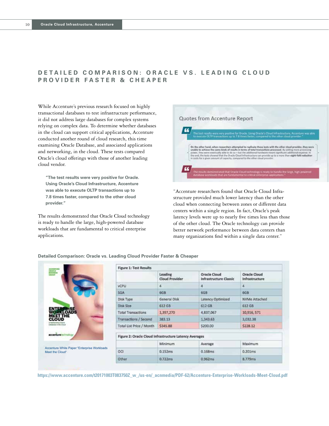## **DETAILED COMPARISON: ORACLE VS. LEADING CLOUD PROVIDER FASTER & CHEAPER**

While Accenture's previous research focused on highly transactional databases to test infrastructure performance, it did not address large databases for complex systems relying on complex data. To determine whether databases in the cloud can support critical applications, Accenture conducted another round of cloud research, this time examining Oracle Database, and associated applications and networking, in the cloud. These tests compared Oracle's cloud offerings with those of another leading cloud vendor.

**"The test results were very positive for Oracle. Using Oracle's Cloud Infrastructure, Accenture was able to execute OLTP transactions up to 7.8 times faster, compared to the other cloud provider."**

The results demonstrated that Oracle Cloud technology is ready to handle the large, high-powered database workloads that are fundamental to critical enterprise applications.



"Accenture researchers found that Oracle Cloud Infrastructure provided much lower latency than the other cloud when connecting between zones or different data centers within a single region. In fact, Oracle's peak latency levels were up to nearly five times less than those of the other cloud. The Oracle technology can provide better network performance between data centers than many organizations find within a single data center."

**Detailed Comparison: Oracle vs. Leading Cloud Provider Faster & Cheaper**

|                                                                | <b>Figure 1: Test Results</b>                          |                                  |                                                      |                                       |
|----------------------------------------------------------------|--------------------------------------------------------|----------------------------------|------------------------------------------------------|---------------------------------------|
| AOCENTURE<br>MAGILI<br>MINIPERS                                |                                                        | Leading<br><b>Cloud Provider</b> | <b>Oracle Cloud</b><br><b>Infrastructure Classic</b> | <b>Oracle Cloud</b><br>Infrastructure |
| ORKLOADS<br><b>EET THE</b><br>CLOUD                            | <b>VCPU</b>                                            | A                                | д                                                    | A.                                    |
|                                                                | <b>SGA</b>                                             | 6GB                              | 6GB                                                  | 6GB                                   |
|                                                                | Disk Type                                              | General Disk                     | Latency Optimized                                    | <b>NVMe Attached</b>                  |
|                                                                | <b>Disk Size</b>                                       | 612 GB                           | 612 GB                                               | 612 GB                                |
|                                                                | <b>Total Transactions</b>                              | 1,397,270                        | 4,837,067                                            | 10,916,571                            |
|                                                                | Transactions / Second                                  | 383.13                           | 1,343.63                                             | 3,032.38                              |
| <b>Burnet or the Cloud</b>                                     | Total List Price / Month                               | \$345.88                         | \$200.00                                             | \$228.12                              |
| accenture<br>echnology                                         | Figure 2: Oracle Cloud Infrastructure Latency Averages |                                  |                                                      |                                       |
| Accenture White Paper:"Enterprise Workloads<br>Meet the Cloud" |                                                        | Minimum                          | Average                                              | Maximum                               |
|                                                                | OCI                                                    | 0.152ms                          | 0.168ms                                              | 0.201ms                               |
|                                                                | Other                                                  | 0.722ms                          | 0.962ms                                              | 8.779ms                               |

**https://www.accenture.com/t20171003T083750Z\_w\_/us-en/\_acnmedia/PDF-62/Accenture-Enterprise-Workloads-Meet-Cloud.pdf**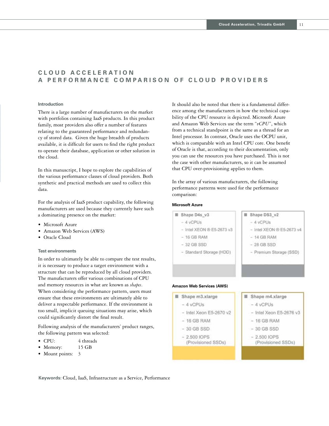11

## **CLOUD ACCELERATION A PERFORMANCE COMPARISON OF CLOUD PROVIDERS**

#### **Introduction**

There is a large number of manufacturers on the market with portfolios containing IaaS products. In this product family, most providers also offer a number of features relating to the guaranteed performance and redundancy of stored data. Given the huge breadth of products available, it is difficult for users to find the right product to operate their database, application or other solution in the cloud.

In this manuscript, I hope to explore the capabilities of the various performance classes of cloud providers. Both synthetic and practical methods are used to collect this data.

For the analysis of IaaS product capability, the following manufacturers are used because they currently have such a dominating presence on the market:

- Microsoft Azure
- Amazon Web Services (AWS)
- Oracle Cloud

#### **Test environments**

In order to ultimately be able to compare the test results, it is necessary to produce a target environment with a structure that can be reproduced by all cloud providers. The manufacturers offer various combinations of CPU and memory resources in what are known as *shapes*. When considering the performance pattern, users must ensure that these environments are ultimately able to deliver a respectable performance. If the environment is too small, implicit queuing situations may arise, which could significantly distort the final result.

Following analysis of the manufacturers' product ranges, the following pattern was selected:

- CPU: 4 threads
- Memory: 15 GB
- Mount points: 3

It should also be noted that there is a fundamental difference among the manufacturers in how the technical capability of the CPU resource is depicted. Microsoft Azure and Amazon Web Services use the term "*vCPU*", which from a technical standpoint is the same as a thread for an Intel processor. In contrast, Oracle uses the OCPU unit, which is comparable with an Intel CPU core. One benefit of Oracle is that, according to their documentation, only you can use the resources you have purchased. This is not the case with other manufacturers, so it can be assumed that CPU over-provisioning applies to them.

In the array of various manufacturers, the following performance patterns were used for the performance comparison:

#### **Microsoft Azure**

- Shape D4s v3
	- $=$  4  $v$ CPUs
	- Intel XEON ® E5-2673 v3
	- $-16$  GB RAM
	- $-32$  GB SSD
	-

**Amazon Web Services (AWS)**

 $-$  Intel Xeon E5-2670  $v2$ 

(Provisioned SSDs)

Shape m3.xlarge

 $-16$  GB RAM

 $-30$  GB SSD

 $-2.500$  IOPS

 $-4$  vCPUs

- Standard Storage (HDD)

#### Shape m4.xlarge

Shape DS3\_v2

 $-4$  vCPUs

 $-14$  GB RAM

 $-28$  GB SSD

- Intel XEON @ E5-2673 v4

- Premium Storage (SSD)

- - $-$  Intel Xeon E5-2676 v3
	- $-16$  GB RAM

 $-4$  vCPUs

- $-30$  GB SSD
- $-2.500$  IOPS
- (Provisioned SSDs)

**Keywords:** Cloud, IaaS, Infrastructure as a Service, Performance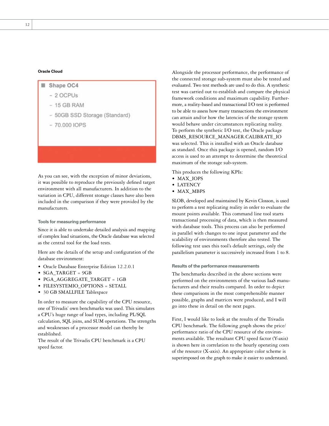#### **Oracle Cloud**

#### ■ Shape OC4

- $-2$  OCPUs
- $-15$  GB RAM
- 50GB SSD Storage (Standard)
- 70,000 IOPS

As you can see, with the exception of minor deviations, it was possible to reproduce the previously defined target environment with all manufacturers. In addition to the variation in CPU, different storage classes have also been included in the comparison if they were provided by the manufacturers.

#### **Tools for measuring performance**

Since it is able to undertake detailed analysis and mapping of complex load situations, the Oracle database was selected as the central tool for the load tests.

Here are the details of the setup and configuration of the database environment:

- Oracle Database Enterprise Edition 12.2.0.1
- SGA\_TARGET = 9GB
- PGA\_AGGREGATE\_TARGET = 1GB
- FILESYSTEMIO\_OPTIONS = SETALL
- 30 GB SMALLFILE Tablespace

In order to measure the capability of the CPU resource, one of Trivadis' own benchmarks was used. This simulates a CPU's huge range of load types, including PL/SQL calculation, SQL joins, and SUM operations. The strengths and weaknesses of a processor model can thereby be established.

The result of the Trivadis CPU benchmark is a CPU speed factor.

Alongside the processor performance, the performance of the connected storage sub-system must also be tested and evaluated. Two test methods are used to do this. A synthetic test was carried out to establish and compare the physical framework conditions and maximum capability. Furthermore, a reality-based and transactional I/O test is performed to be able to assess how many transactions the environment can attain and/or how the latencies of the storage system would behave under circumstances replicating reality. To perform the synthetic I/O test, the Oracle package DBMS\_RESOURCE\_MANAGER.CALIBRATE\_IO was selected. This is installed with an Oracle database as standard. Once this package is opened, random I/O access is used to an attempt to determine the theoretical maximum of the storage sub-system.

This produces the following KPIs:

- MAX\_IOPS
- LATENCY
- MAX\_MBPS

SLOB, developed and maintained by Kevin Closson, is used to perform a test replicating reality in order to evaluate the mount points available. This command line tool starts transactional processing of data, which is then measured with database tools. This process can also be performed in parallel with changes to one input parameter and the scalability of environments therefore also tested. The following test uses this tool's default settings, only the parallelism parameter is successively increased from 1 to 8.

#### **Results of the performance measurements**

The benchmarks described in the above sections were performed on the environments of the various IaaS manufacturers and their results compared. In order to depict these comparisons in the most comprehensible manner possible, graphs and matrices were produced, and I will go into these in detail on the next pages.

First, I would like to look at the results of the Trivadis CPU benchmark. The following graph shows the price/ performance ratio of the CPU resource of the environments available. The resultant CPU speed factor (Y-axis) is shown here in correlation to the hourly operating costs of the resource (X-axis). An appropriate color scheme is superimposed on the graph to make it easier to understand.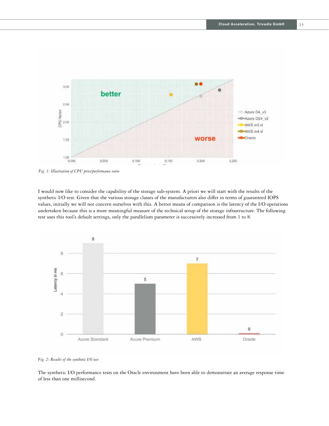13



*Fig. 1: Illustration of CPU price/performance ratio*

I would now like to consider the capability of the storage sub-system. A priori we will start with the results of the synthetic I/O test. Given that the various storage classes of the manufacturers also differ in terms of guaranteed IOPS values, initially we will not concern ourselves with this. A better means of comparison is the latency of the I/O operations undertaken because this is a more meaningful measure of the technical setup of the storage infrastructure. The following test uses this tool's default settings, only the parallelism parameter is successively increased from 1 to 8.



*Fig. 2: Results of the synthetic I/O test*

The synthetic I/O performance tests on the Oracle environment have been able to demonstrate an average response time of less than one millisecond.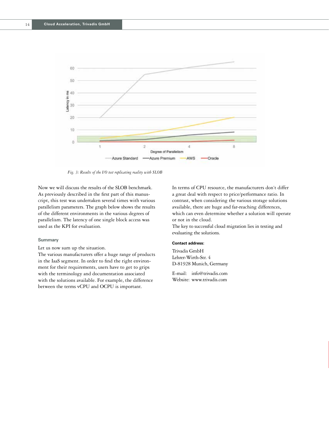

*Fig. 3: Results of the I/O test replicating reality with SLOB*

Now we will discuss the results of the SLOB benchmark. As previously described in the first part of this manuscript, this test was undertaken several times with various parallelism parameters. The graph below shows the results of the different environments in the various degrees of parallelism. The latency of one single block access was used as the KPI for evaluation.

#### **Summary**

Let us now sum up the situation.

The various manufacturers offer a huge range of products in the IaaS segment. In order to find the right environment for their requirements, users have to get to grips with the terminology and documentation associated with the solutions available. For example, the difference between the terms vCPU and OCPU is important.

In terms of CPU resource, the manufacturers don't differ a great deal with respect to price/performance ratio. In contrast, when considering the various storage solutions available, there are huge and far-reaching differences, which can even determine whether a solution will operate or not in the cloud.

The key to successful cloud migration lies in testing and evaluating the solutions.

#### **Contact address:**

Trivadis GmbH Lehrer-Wirth-Str. 4 D-81928 Munich, Germany

E-mail: info@trivadis.com Website: www.trivadis.com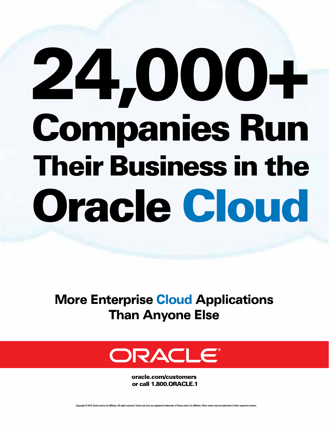# 24,000+ Companies Run Their Business in the Oracle Cloud

More Enterprise Cloud Applications Than Anyone Else



oracle.com/customers or call 1.800.ORACLE.1

Copyright © 2018, Oracle and/or its affiliates. All rights reserved. Oracle and Java are registered trademarks of Oracle and/or its affiliates. Other names may be trademarks of their respective owners